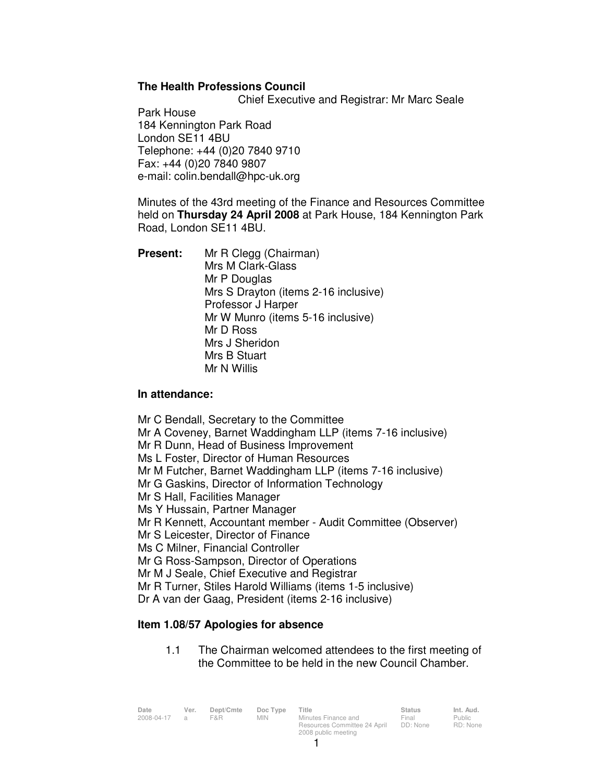## **The Health Professions Council**

Chief Executive and Registrar: Mr Marc Seale

Park House 184 Kennington Park Road London SE11 4BU Telephone: +44 (0)20 7840 9710 Fax: +44 (0)20 7840 9807 e-mail: colin.bendall@hpc-uk.org

Minutes of the 43rd meeting of the Finance and Resources Committee held on **Thursday 24 April 2008** at Park House, 184 Kennington Park Road, London SE11 4BU.

**Present:** Mr R Clegg (Chairman) Mrs M Clark-Glass Mr P Douglas Mrs S Drayton (items 2-16 inclusive) Professor J Harper Mr W Munro (items 5-16 inclusive) Mr D Ross Mrs J Sheridon Mrs B Stuart Mr N Willis

## **In attendance:**

Mr C Bendall, Secretary to the Committee Mr A Coveney, Barnet Waddingham LLP (items 7-16 inclusive) Mr R Dunn, Head of Business Improvement Ms L Foster, Director of Human Resources Mr M Futcher, Barnet Waddingham LLP (items 7-16 inclusive) Mr G Gaskins, Director of Information Technology Mr S Hall, Facilities Manager Ms Y Hussain, Partner Manager Mr R Kennett, Accountant member - Audit Committee (Observer) Mr S Leicester, Director of Finance Ms C Milner, Financial Controller Mr G Ross-Sampson, Director of Operations Mr M J Seale, Chief Executive and Registrar Mr R Turner, Stiles Harold Williams (items 1-5 inclusive) Dr A van der Gaag, President (items 2-16 inclusive)

## **Item 1.08/57 Apologies for absence**

1.1 The Chairman welcomed attendees to the first meeting of the Committee to be held in the new Council Chamber.

| Date<br>2008-04-17 a | Ver. | Dept/Cmte<br>F&R. | Doc Type<br>MIN. | Title<br>Minutes Finance and | <b>Status</b><br>Final | Int. Aud.<br>Public |
|----------------------|------|-------------------|------------------|------------------------------|------------------------|---------------------|
|                      |      |                   |                  | Resources Committee 24 April | DD: None               | RD: None            |
|                      |      |                   |                  | 2008 public meeting          |                        |                     |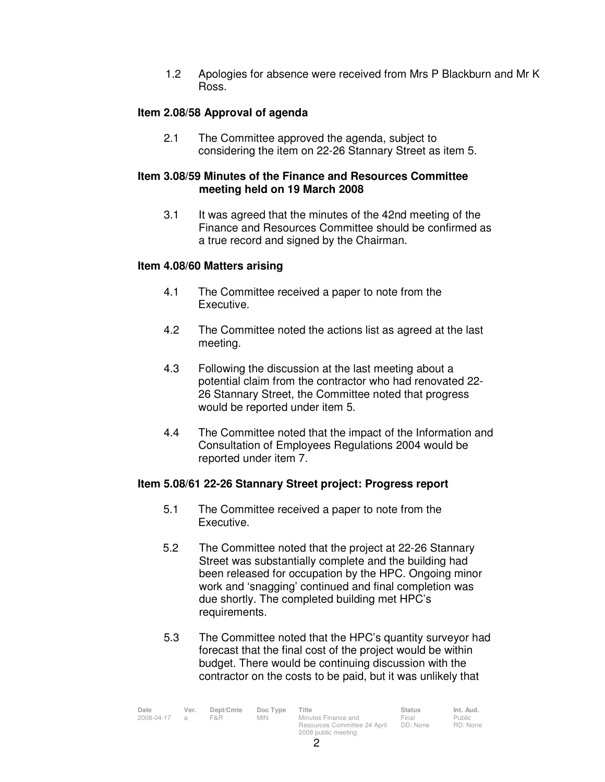1.2 Apologies for absence were received from Mrs P Blackburn and Mr K Ross.

## **Item 2.08/58 Approval of agenda**

 2.1 The Committee approved the agenda, subject to considering the item on 22-26 Stannary Street as item 5.

### **Item 3.08/59 Minutes of the Finance and Resources Committee meeting held on 19 March 2008**

3.1 It was agreed that the minutes of the 42nd meeting of the Finance and Resources Committee should be confirmed as a true record and signed by the Chairman.

## **Item 4.08/60 Matters arising**

- 4.1 The Committee received a paper to note from the Executive.
- 4.2 The Committee noted the actions list as agreed at the last meeting.
- 4.3 Following the discussion at the last meeting about a potential claim from the contractor who had renovated 22- 26 Stannary Street, the Committee noted that progress would be reported under item 5.
- 4.4 The Committee noted that the impact of the Information and Consultation of Employees Regulations 2004 would be reported under item 7.

## **Item 5.08/61 22-26 Stannary Street project: Progress report**

- 5.1 The Committee received a paper to note from the Executive.
- 5.2 The Committee noted that the project at 22-26 Stannary Street was substantially complete and the building had been released for occupation by the HPC. Ongoing minor work and 'snagging' continued and final completion was due shortly. The completed building met HPC's requirements.
- 5.3 The Committee noted that the HPC's quantity surveyor had forecast that the final cost of the project would be within budget. There would be continuing discussion with the contractor on the costs to be paid, but it was unlikely that

| Date       | Ver.           | Dept/Cmte | Doc Type   | Title                                               | <b>Status</b>     | Int. Aud.          |
|------------|----------------|-----------|------------|-----------------------------------------------------|-------------------|--------------------|
| 2008-04-17 | $\overline{a}$ | F&R       | <b>MIN</b> | Minutes Finance and<br>Resources Committee 24 April | Final<br>DD: None | Public<br>RD: None |
|            |                |           |            | 2008 public meeting                                 |                   |                    |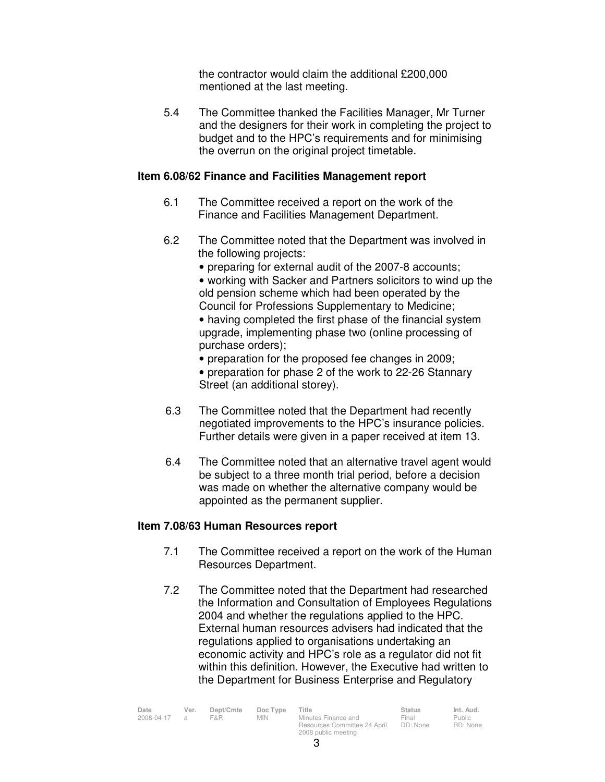the contractor would claim the additional £200,000 mentioned at the last meeting.

 5.4 The Committee thanked the Facilities Manager, Mr Turner and the designers for their work in completing the project to budget and to the HPC's requirements and for minimising the overrun on the original project timetable.

### **Item 6.08/62 Finance and Facilities Management report**

- 6.1 The Committee received a report on the work of the Finance and Facilities Management Department.
- 6.2 The Committee noted that the Department was involved in the following projects:
	- preparing for external audit of the 2007-8 accounts;

• working with Sacker and Partners solicitors to wind up the old pension scheme which had been operated by the Council for Professions Supplementary to Medicine;

• having completed the first phase of the financial system upgrade, implementing phase two (online processing of purchase orders);

- preparation for the proposed fee changes in 2009;
- preparation for phase 2 of the work to 22-26 Stannary Street (an additional storey).
- 6.3 The Committee noted that the Department had recently negotiated improvements to the HPC's insurance policies. Further details were given in a paper received at item 13.
- 6.4 The Committee noted that an alternative travel agent would be subject to a three month trial period, before a decision was made on whether the alternative company would be appointed as the permanent supplier.

### **Item 7.08/63 Human Resources report**

- 7.1 The Committee received a report on the work of the Human Resources Department.
- 7.2 The Committee noted that the Department had researched the Information and Consultation of Employees Regulations 2004 and whether the regulations applied to the HPC. External human resources advisers had indicated that the regulations applied to organisations undertaking an economic activity and HPC's role as a regulator did not fit within this definition. However, the Executive had written to the Department for Business Enterprise and Regulatory

| Date         | Ver. | Dept/Cmte | Doc Type | Title                        | <b>Status</b> | Int. Aud. |
|--------------|------|-----------|----------|------------------------------|---------------|-----------|
| 2008-04-17 a |      | F&R.      | MIN.     | Minutes Finance and          | Final         | Public    |
|              |      |           |          | Resources Committee 24 April | DD: None      | RD: None  |
|              |      |           |          | 2008 public meeting          |               |           |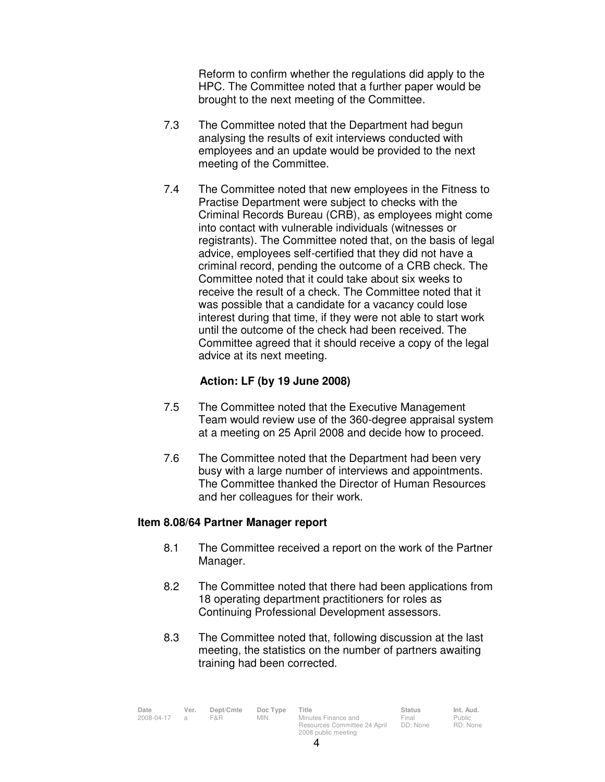Reform to confirm whether the regulations did apply to the HPC. The Committee noted that a further paper would be brought to the next meeting of the Committee.

- 7.3 The Committee noted that the Department had begun analysing the results of exit interviews conducted with employees and an update would be provided to the next meeting of the Committee.
- 7.4 The Committee noted that new employees in the Fitness to Practise Department were subject to checks with the Criminal Records Bureau (CRB), as employees might come into contact with vulnerable individuals (witnesses or registrants). The Committee noted that, on the basis of legal advice, employees self-certified that they did not have a criminal record, pending the outcome of a CRB check. The Committee noted that it could take about six weeks to receive the result of a check. The Committee noted that it was possible that a candidate for a vacancy could lose interest during that time, if they were not able to start work until the outcome of the check had been received. The Committee agreed that it should receive a copy of the legal advice at its next meeting.

## **Action: LF (by 19 June 2008)**

- 7.5 The Committee noted that the Executive Management Team would review use of the 360-degree appraisal system at a meeting on 25 April 2008 and decide how to proceed.
- 7.6 The Committee noted that the Department had been very busy with a large number of interviews and appointments. The Committee thanked the Director of Human Resources and her colleagues for their work.

## **Item 8.08/64 Partner Manager report**

- 8.1 The Committee received a report on the work of the Partner Manager.
- 8.2 The Committee noted that there had been applications from 18 operating department practitioners for roles as Continuing Professional Development assessors.
- 8.3 The Committee noted that, following discussion at the last meeting, the statistics on the number of partners awaiting training had been corrected.

4

| Date         | Ver. | Dept/Cmte | Doc Type | Title                                               | <b>Status</b>     | Int. Aud.         |
|--------------|------|-----------|----------|-----------------------------------------------------|-------------------|-------------------|
| 2008-04-17 a |      | F&R       | MIN.     | Minutes Finance and<br>Resources Committee 24 April | Final<br>DD: None | Public<br>RD: Non |
|              |      |           |          | 2008 public meeting                                 |                   |                   |

Public RD: None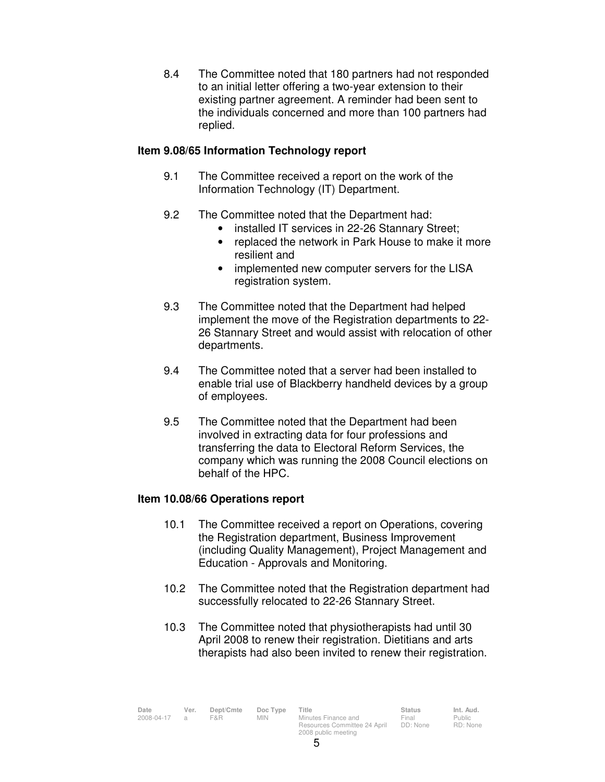8.4 The Committee noted that 180 partners had not responded to an initial letter offering a two-year extension to their existing partner agreement. A reminder had been sent to the individuals concerned and more than 100 partners had replied.

## **Item 9.08/65 Information Technology report**

- 9.1 The Committee received a report on the work of the Information Technology (IT) Department.
- 9.2 The Committee noted that the Department had:
	- installed IT services in 22-26 Stannary Street;
	- replaced the network in Park House to make it more resilient and
	- implemented new computer servers for the LISA registration system.
- 9.3 The Committee noted that the Department had helped implement the move of the Registration departments to 22- 26 Stannary Street and would assist with relocation of other departments.
- 9.4 The Committee noted that a server had been installed to enable trial use of Blackberry handheld devices by a group of employees.
- 9.5 The Committee noted that the Department had been involved in extracting data for four professions and transferring the data to Electoral Reform Services, the company which was running the 2008 Council elections on behalf of the HPC.

## **Item 10.08/66 Operations report**

- 10.1 The Committee received a report on Operations, covering the Registration department, Business Improvement (including Quality Management), Project Management and Education - Approvals and Monitoring.
- 10.2 The Committee noted that the Registration department had successfully relocated to 22-26 Stannary Street.
- 10.3 The Committee noted that physiotherapists had until 30 April 2008 to renew their registration. Dietitians and arts therapists had also been invited to renew their registration.

| Date         | Ver. Dept/Cmte Doc Type Title |     |                     | <b>Status</b>               | Int. Aud.                   |
|--------------|-------------------------------|-----|---------------------|-----------------------------|-----------------------------|
| 2008-04-17 a | <b>F&amp;R</b>                | MIN | Minutes Finance and | Final                       | Public                      |
|              |                               |     | .                   | $\sim$ $\sim$ $\sim$ $\sim$ | $\sim$ $\sim$ $\sim$ $\sim$ |

*Ainutes Finance and* Resources Committee 24 April DD: None 2008 public meeting

Final

Public RD: None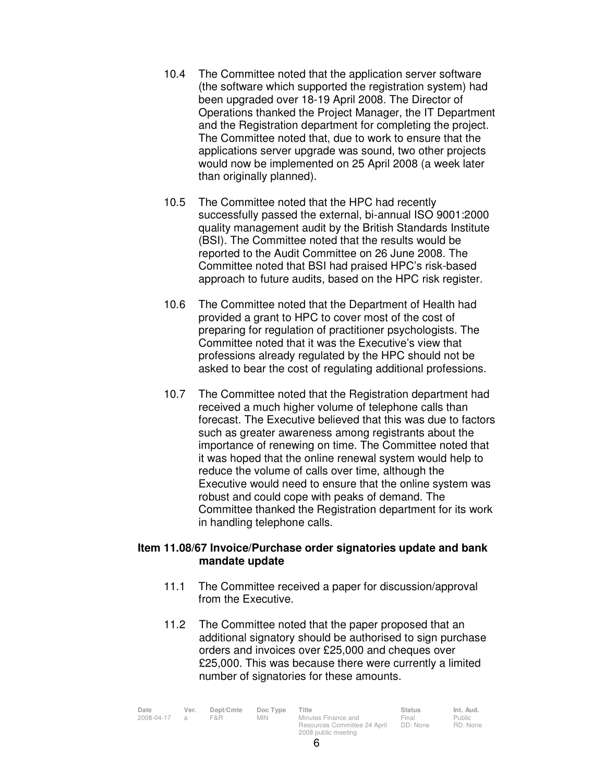- 10.4 The Committee noted that the application server software (the software which supported the registration system) had been upgraded over 18-19 April 2008. The Director of Operations thanked the Project Manager, the IT Department and the Registration department for completing the project. The Committee noted that, due to work to ensure that the applications server upgrade was sound, two other projects would now be implemented on 25 April 2008 (a week later than originally planned).
- 10.5 The Committee noted that the HPC had recently successfully passed the external, bi-annual ISO 9001:2000 quality management audit by the British Standards Institute (BSI). The Committee noted that the results would be reported to the Audit Committee on 26 June 2008. The Committee noted that BSI had praised HPC's risk-based approach to future audits, based on the HPC risk register.
- 10.6 The Committee noted that the Department of Health had provided a grant to HPC to cover most of the cost of preparing for regulation of practitioner psychologists. The Committee noted that it was the Executive's view that professions already regulated by the HPC should not be asked to bear the cost of regulating additional professions.
- 10.7 The Committee noted that the Registration department had received a much higher volume of telephone calls than forecast. The Executive believed that this was due to factors such as greater awareness among registrants about the importance of renewing on time. The Committee noted that it was hoped that the online renewal system would help to reduce the volume of calls over time, although the Executive would need to ensure that the online system was robust and could cope with peaks of demand. The Committee thanked the Registration department for its work in handling telephone calls.

## **Item 11.08/67 Invoice/Purchase order signatories update and bank mandate update**

- 11.1 The Committee received a paper for discussion/approval from the Executive.
- 11.2 The Committee noted that the paper proposed that an additional signatory should be authorised to sign purchase orders and invoices over £25,000 and cheques over £25,000. This was because there were currently a limited number of signatories for these amounts.

| Date       | Ver. | Dept/Cmte | Doc Type   | Title                        | <b>Status</b> | Int. Aud. |
|------------|------|-----------|------------|------------------------------|---------------|-----------|
| 2008-04-17 |      | F&R       | <b>MIN</b> | Minutes Finance and          | Final         | Public    |
|            |      |           |            | Resources Committee 24 April | DD: None      | RD: None  |
|            |      |           |            | 2008 public meeting          |               |           |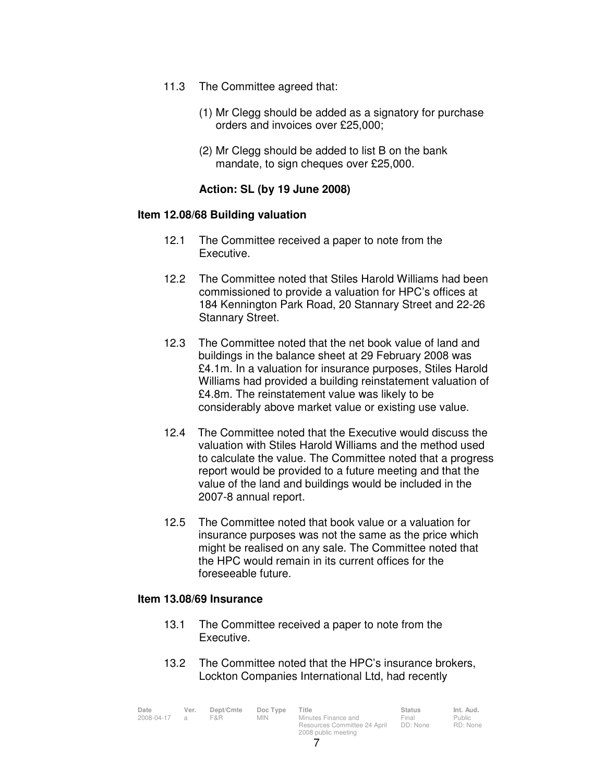- 11.3 The Committee agreed that:
	- (1) Mr Clegg should be added as a signatory for purchase orders and invoices over £25,000;
	- (2) Mr Clegg should be added to list B on the bank mandate, to sign cheques over £25,000.

## **Action: SL (by 19 June 2008)**

### **Item 12.08/68 Building valuation**

- 12.1 The Committee received a paper to note from the Executive.
- 12.2 The Committee noted that Stiles Harold Williams had been commissioned to provide a valuation for HPC's offices at 184 Kennington Park Road, 20 Stannary Street and 22-26 Stannary Street.
- 12.3 The Committee noted that the net book value of land and buildings in the balance sheet at 29 February 2008 was £4.1m. In a valuation for insurance purposes, Stiles Harold Williams had provided a building reinstatement valuation of £4.8m. The reinstatement value was likely to be considerably above market value or existing use value.
- 12.4 The Committee noted that the Executive would discuss the valuation with Stiles Harold Williams and the method used to calculate the value. The Committee noted that a progress report would be provided to a future meeting and that the value of the land and buildings would be included in the 2007-8 annual report.
- 12.5 The Committee noted that book value or a valuation for insurance purposes was not the same as the price which might be realised on any sale. The Committee noted that the HPC would remain in its current offices for the foreseeable future.

### **Item 13.08/69 Insurance**

- 13.1 The Committee received a paper to note from the Executive.
- 13.2 The Committee noted that the HPC's insurance brokers, Lockton Companies International Ltd, had recently

| Date<br>2008-04-17 | Ver.<br>$\overline{a}$ | Dept/Cmte<br>F&R. | Doc Type<br>MIN. | Title<br>Minutes Finance and | <b>Status</b><br>Final | Int. Aud.<br>Public |
|--------------------|------------------------|-------------------|------------------|------------------------------|------------------------|---------------------|
|                    |                        |                   |                  | Resources Committee 24 April | DD: None               | RD: None            |
|                    |                        |                   |                  | 2008 public meeting          |                        |                     |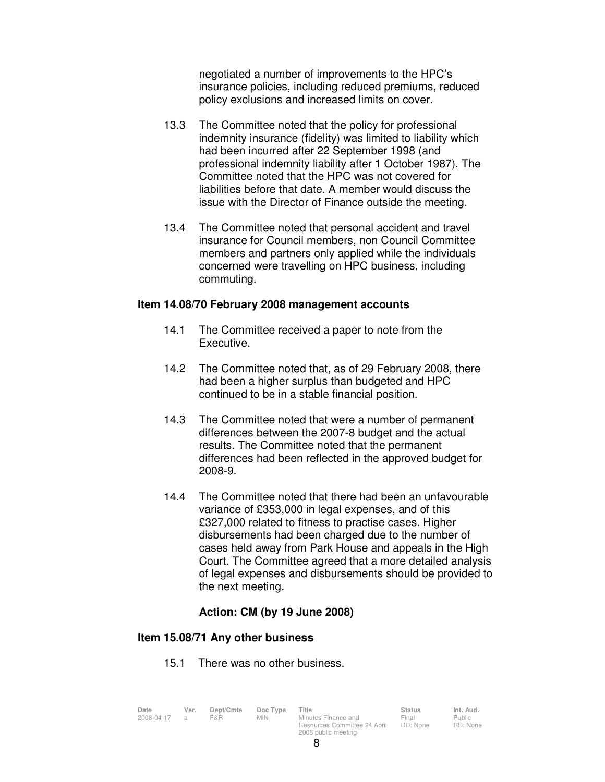negotiated a number of improvements to the HPC's insurance policies, including reduced premiums, reduced policy exclusions and increased limits on cover.

- 13.3 The Committee noted that the policy for professional indemnity insurance (fidelity) was limited to liability which had been incurred after 22 September 1998 (and professional indemnity liability after 1 October 1987). The Committee noted that the HPC was not covered for liabilities before that date. A member would discuss the issue with the Director of Finance outside the meeting.
- 13.4 The Committee noted that personal accident and travel insurance for Council members, non Council Committee members and partners only applied while the individuals concerned were travelling on HPC business, including commuting.

### **Item 14.08/70 February 2008 management accounts**

- 14.1 The Committee received a paper to note from the Executive.
- 14.2 The Committee noted that, as of 29 February 2008, there had been a higher surplus than budgeted and HPC continued to be in a stable financial position.
- 14.3 The Committee noted that were a number of permanent differences between the 2007-8 budget and the actual results. The Committee noted that the permanent differences had been reflected in the approved budget for 2008-9.
- 14.4 The Committee noted that there had been an unfavourable variance of £353,000 in legal expenses, and of this £327,000 related to fitness to practise cases. Higher disbursements had been charged due to the number of cases held away from Park House and appeals in the High Court. The Committee agreed that a more detailed analysis of legal expenses and disbursements should be provided to the next meeting.

### **Action: CM (by 19 June 2008)**

### **Item 15.08/71 Any other business**

15.1 There was no other business.

| Date         | Ver. | Dept/Cmte | Doc Type | Title                                               | <b>Status</b>     | Int. Aud.          |
|--------------|------|-----------|----------|-----------------------------------------------------|-------------------|--------------------|
| 2008-04-17 a |      | F&R.      | MIN.     | Minutes Finance and<br>Resources Committee 24 April | Final<br>DD: None | Public<br>RD: None |
|              |      |           |          | 2008 public meeting                                 |                   |                    |